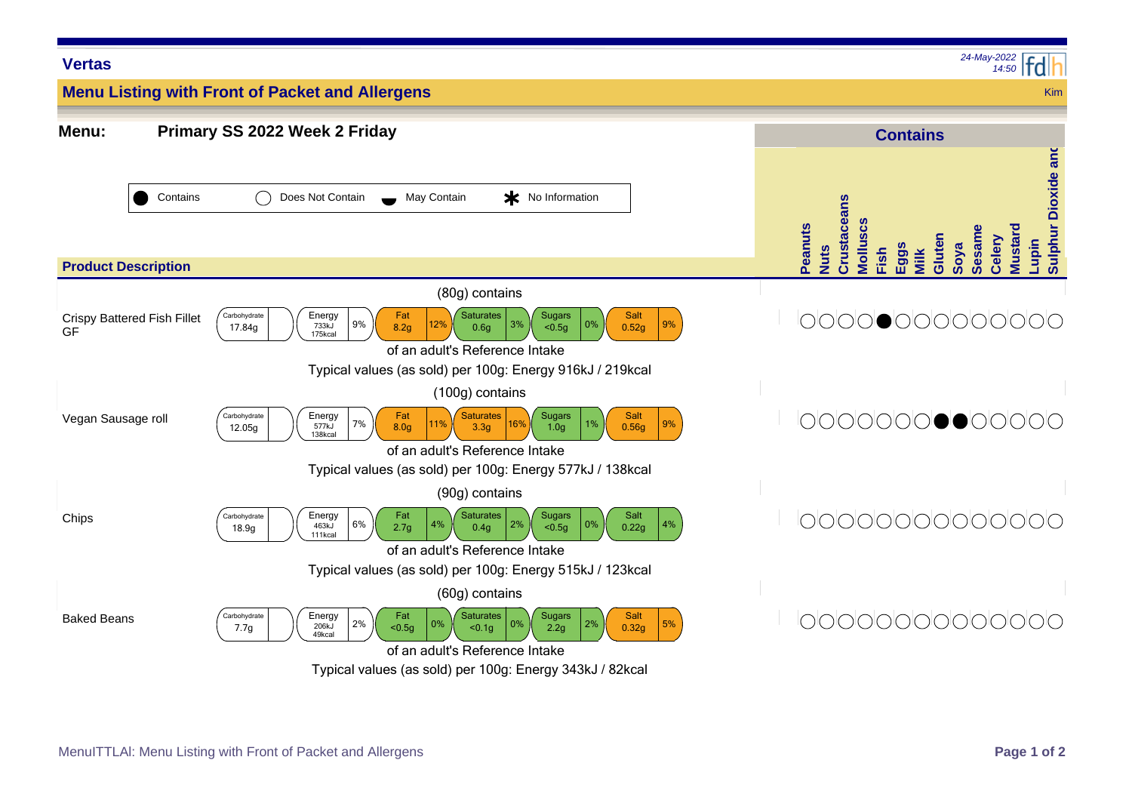